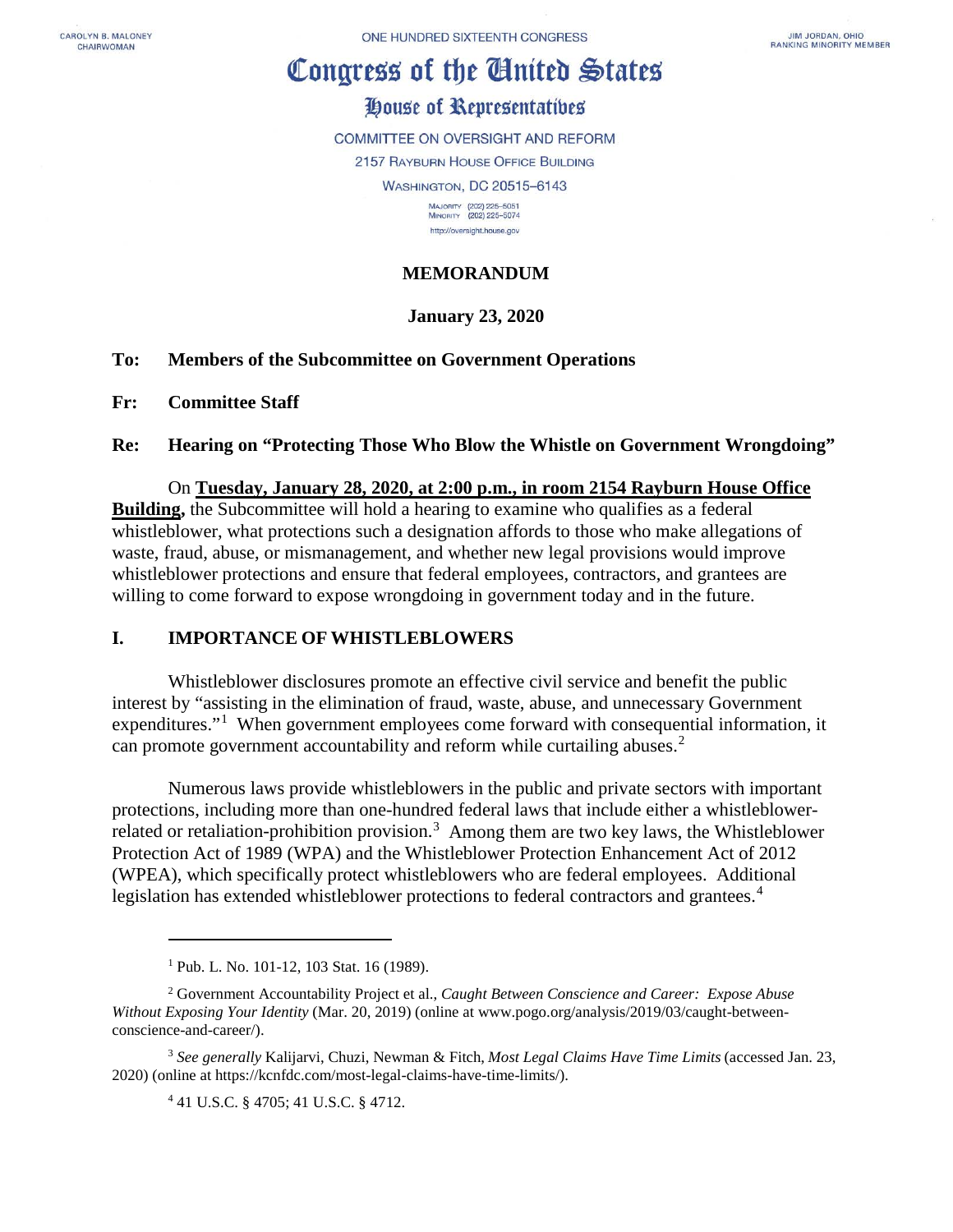CAROLYN B MALONEY CHAIRWOMAN

# Congress of the Cinited States

# House of Representatives

COMMITTEE ON OVERSIGHT AND REFORM 2157 RAYBURN HOUSE OFFICE BUILDING **WASHINGTON, DC 20515-6143** MAJORITY (202) 225-5051<br>MINORITY (202) 225-5074

> http://oversight.house.gov **MEMORANDUM**

# **January 23, 2020**

## **To: Members of the Subcommittee on Government Operations**

**Fr: Committee Staff**

**Re: Hearing on "Protecting Those Who Blow the Whistle on Government Wrongdoing"** 

# On **Tuesday, January 28, 2020, at 2:00 p.m., in room 2154 Rayburn House Office**

**Building,** the Subcommittee will hold a hearing to examine who qualifies as a federal whistleblower, what protections such a designation affords to those who make allegations of waste, fraud, abuse, or mismanagement, and whether new legal provisions would improve whistleblower protections and ensure that federal employees, contractors, and grantees are willing to come forward to expose wrongdoing in government today and in the future.

# **I. IMPORTANCE OF WHISTLEBLOWERS**

Whistleblower disclosures promote an effective civil service and benefit the public interest by "assisting in the elimination of fraud, waste, abuse, and unnecessary Government expenditures."<sup>[1](#page-0-0)</sup> When government employees come forward with consequential information, it can promote government accountability and reform while curtailing abuses.<sup>[2](#page-0-1)</sup>

Numerous laws provide whistleblowers in the public and private sectors with important protections, including more than one-hundred federal laws that include either a whistleblower-related or retaliation-prohibition provision.<sup>[3](#page-0-2)</sup> Among them are two key laws, the Whistleblower Protection Act of 1989 (WPA) and the Whistleblower Protection Enhancement Act of 2012 (WPEA), which specifically protect whistleblowers who are federal employees. Additional legislation has extended whistleblower protections to federal contractors and grantees.<sup>[4](#page-0-3)</sup>

 $\overline{a}$ 

<sup>&</sup>lt;sup>1</sup> Pub. L. No. 101-12, 103 Stat. 16 (1989).

<span id="page-0-1"></span><span id="page-0-0"></span><sup>2</sup> Government Accountability Project et al., *Caught Between Conscience and Career: Expose Abuse Without Exposing Your Identity* (Mar. 20, 2019) (online at www.pogo.org/analysis/2019/03/caught-betweenconscience-and-career/).

<span id="page-0-3"></span><span id="page-0-2"></span><sup>3</sup> *See generally* Kalijarvi, Chuzi, Newman & Fitch, *Most Legal Claims Have Time Limits* (accessed Jan. 23, 2020) (online at https://kcnfdc.com/most-legal-claims-have-time-limits/).

<sup>4</sup> 41 U.S.C. § 4705; 41 U.S.C. § 4712.